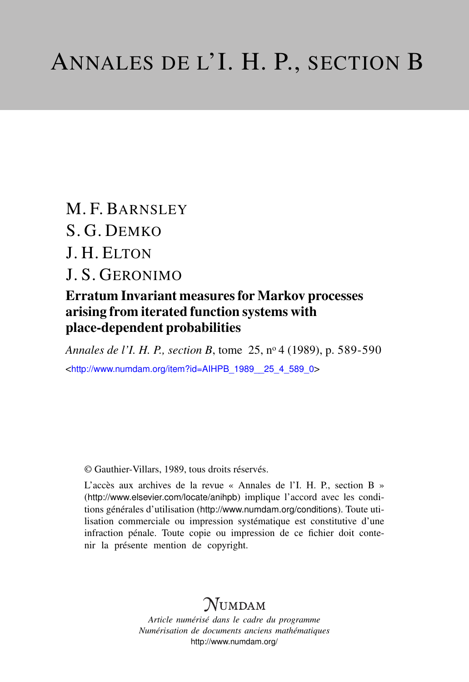M. F. BARNSLEY S. G. DEMKO J. H. ELTON

J. S. GERONIMO

### Erratum Invariant measures for Markov processes arising from iterated function systems with place-dependent probabilities

*Annales de l'I. H. P., section B*, tome 25, n<sup>o</sup> 4 (1989), p. 589-590 <[http://www.numdam.org/item?id=AIHPB\\_1989\\_\\_25\\_4\\_589\\_0](http://www.numdam.org/item?id=AIHPB_1989__25_4_589_0)>

© Gauthier-Villars, 1989, tous droits réservés.

L'accès aux archives de la revue « Annales de l'I. H. P., section B » (<http://www.elsevier.com/locate/anihpb>) implique l'accord avec les conditions générales d'utilisation (<http://www.numdam.org/conditions>). Toute utilisation commerciale ou impression systématique est constitutive d'une infraction pénale. Toute copie ou impression de ce fichier doit contenir la présente mention de copyright.

# $N$ UMDAM

*Article numérisé dans le cadre du programme Numérisation de documents anciens mathématiques* <http://www.numdam.org/>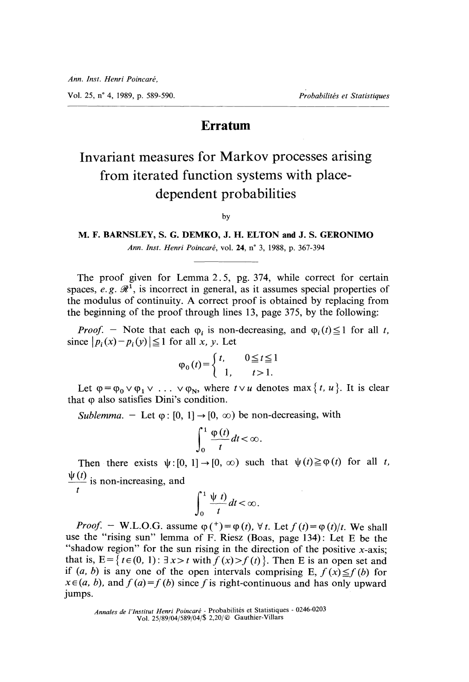Vol. 25, n° 4, 1989, p. 589-590. Probabilités et Statistiques

### Erratum

## Invariant measures for Markov processes arising from iterated function systems with placedependent probabilities

by

#### M. F. BARNSLEY, S. G. DEMKO, J. H. ELTON and J. S. GERONIMO Ann. Inst. Henri Poincaré, vol. 24, n° 3, 1988, p. 367-394

The proof given for Lemma 2. 5, pg. 374, while correct for certain spaces, e.g.  $\mathcal{R}^1$ , is incorrect in general, as it assumes special properties of the modulus of continuity. A correct proof is obtained by replacing from the beginning of the proof through lines 13, page 375, by the following:

*Proof.* - Note that each  $\varphi_i$  is non-decreasing, and  $\varphi_i(t) \leq 1$  for all t, since  $|p_i(x)-p_i(y)| \leq 1$  for all x, y. Let

$$
\varphi_0(t) = \begin{cases} t, & 0 \le t \le 1 \\ 1, & t > 1. \end{cases}
$$

Let  $\varphi = \varphi_0 \vee \varphi_1 \vee \ldots \vee \varphi_N$ , where  $t \vee u$  denotes max { t, u }. It is clear that (p also satisfies Dini's condition.

Sublemma. - Let  $\varphi$ : [0, 1]  $\rightarrow$  [0,  $\infty$ ) be non-decreasing, with

$$
\int_0^1 \frac{\varphi(t)}{t} dt < \infty.
$$

Then there exists  $\psi$ :  $[0, 1] \rightarrow [0, \infty)$  such that  $\psi(t) \geq \varphi(t)$  for all t,

 $\frac{\Psi(t)}{t}$  is non-increasing, and f

$$
\int_0^1 \frac{\psi(t)}{t} dt < \infty.
$$

*Proof.* – W.L.O.G. assume  $\varphi$  (\*) =  $\varphi$  (t),  $\forall$  t. Let  $f(t) = \varphi(t)/t$ . We shall use the "rising sun" lemma of F. Riesz (Boas, page 134) : Let E be the "shadow region" for the sun rising in the direction of the positive x-axis; that is,  $E = \{ t \in (0, 1) : \exists x > t \text{ with } f(x) > f(t) \}.$  Then E is an open set and if  $(a, b)$  is any one of the open intervals comprising E,  $f(x) \leq f(b)$  for  $x \in (a, b)$ , and  $f (a) = f (b)$  since f is right-continuous and has only upward jumps.